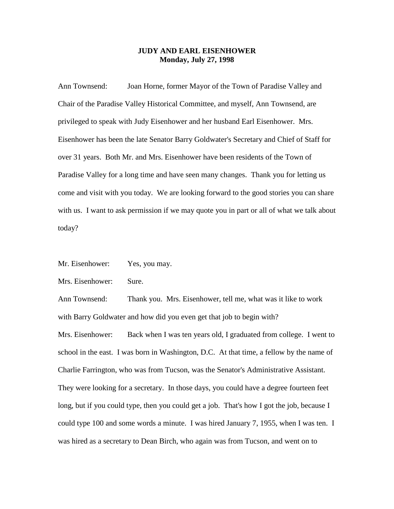## **JUDY AND EARL EISENHOWER Monday, July 27, 1998**

Ann Townsend: Joan Horne, former Mayor of the Town of Paradise Valley and Chair of the Paradise Valley Historical Committee, and myself, Ann Townsend, are privileged to speak with Judy Eisenhower and her husband Earl Eisenhower. Mrs. Eisenhower has been the late Senator Barry Goldwater's Secretary and Chief of Staff for over 31 years. Both Mr. and Mrs. Eisenhower have been residents of the Town of Paradise Valley for a long time and have seen many changes. Thank you for letting us come and visit with you today. We are looking forward to the good stories you can share with us. I want to ask permission if we may quote you in part or all of what we talk about today?

Mr. Eisenhower: Yes, you may.

Mrs. Eisenhower: Sure.

Ann Townsend: Thank you. Mrs. Eisenhower, tell me, what was it like to work with Barry Goldwater and how did you even get that job to begin with?

Mrs. Eisenhower: Back when I was ten years old, I graduated from college. I went to school in the east. I was born in Washington, D.C. At that time, a fellow by the name of Charlie Farrington, who was from Tucson, was the Senator's Administrative Assistant. They were looking for a secretary. In those days, you could have a degree fourteen feet long, but if you could type, then you could get a job. That's how I got the job, because I could type 100 and some words a minute. I was hired January 7, 1955, when I was ten. I was hired as a secretary to Dean Birch, who again was from Tucson, and went on to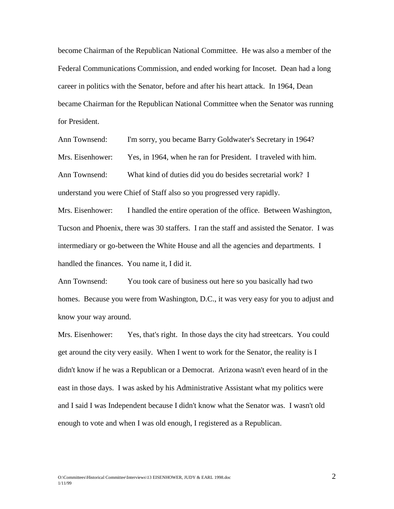become Chairman of the Republican National Committee. He was also a member of the Federal Communications Commission, and ended working for Incoset. Dean had a long career in politics with the Senator, before and after his heart attack. In 1964, Dean became Chairman for the Republican National Committee when the Senator was running for President.

Ann Townsend: I'm sorry, you became Barry Goldwater's Secretary in 1964? Mrs. Eisenhower: Yes, in 1964, when he ran for President. I traveled with him. Ann Townsend: What kind of duties did you do besides secretarial work? I understand you were Chief of Staff also so you progressed very rapidly.

Mrs. Eisenhower: I handled the entire operation of the office. Between Washington, Tucson and Phoenix, there was 30 staffers. I ran the staff and assisted the Senator. I was intermediary or go-between the White House and all the agencies and departments. I handled the finances. You name it, I did it.

Ann Townsend: You took care of business out here so you basically had two homes. Because you were from Washington, D.C., it was very easy for you to adjust and know your way around.

Mrs. Eisenhower: Yes, that's right. In those days the city had streetcars. You could get around the city very easily. When I went to work for the Senator, the reality is I didn't know if he was a Republican or a Democrat. Arizona wasn't even heard of in the east in those days. I was asked by his Administrative Assistant what my politics were and I said I was Independent because I didn't know what the Senator was. I wasn't old enough to vote and when I was old enough, I registered as a Republican.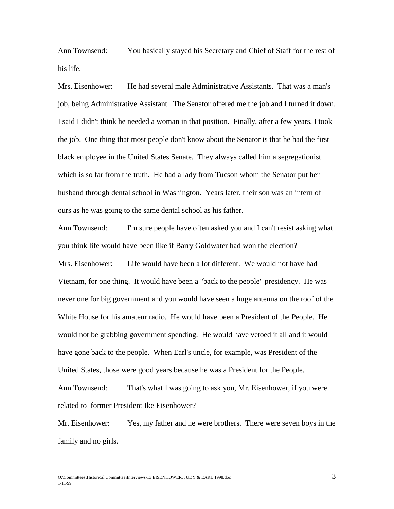Ann Townsend: You basically stayed his Secretary and Chief of Staff for the rest of his life.

Mrs. Eisenhower: He had several male Administrative Assistants. That was a man's job, being Administrative Assistant. The Senator offered me the job and I turned it down. I said I didn't think he needed a woman in that position. Finally, after a few years, I took the job. One thing that most people don't know about the Senator is that he had the first black employee in the United States Senate. They always called him a segregationist which is so far from the truth. He had a lady from Tucson whom the Senator put her husband through dental school in Washington. Years later, their son was an intern of ours as he was going to the same dental school as his father.

Ann Townsend: I'm sure people have often asked you and I can't resist asking what you think life would have been like if Barry Goldwater had won the election? Mrs. Eisenhower: Life would have been a lot different. We would not have had Vietnam, for one thing. It would have been a "back to the people" presidency. He was never one for big government and you would have seen a huge antenna on the roof of the White House for his amateur radio. He would have been a President of the People. He would not be grabbing government spending. He would have vetoed it all and it would have gone back to the people. When Earl's uncle, for example, was President of the United States, those were good years because he was a President for the People. Ann Townsend: That's what I was going to ask you, Mr. Eisenhower, if you were related to former President Ike Eisenhower?

Mr. Eisenhower: Yes, my father and he were brothers. There were seven boys in the family and no girls.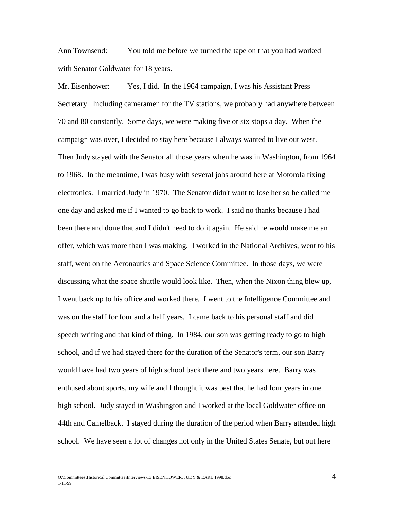Ann Townsend: You told me before we turned the tape on that you had worked with Senator Goldwater for 18 years.

Mr. Eisenhower: Yes, I did. In the 1964 campaign, I was his Assistant Press Secretary. Including cameramen for the TV stations, we probably had anywhere between 70 and 80 constantly. Some days, we were making five or six stops a day. When the campaign was over, I decided to stay here because I always wanted to live out west. Then Judy stayed with the Senator all those years when he was in Washington, from 1964 to 1968. In the meantime, I was busy with several jobs around here at Motorola fixing electronics. I married Judy in 1970. The Senator didn't want to lose her so he called me one day and asked me if I wanted to go back to work. I said no thanks because I had been there and done that and I didn't need to do it again. He said he would make me an offer, which was more than I was making. I worked in the National Archives, went to his staff, went on the Aeronautics and Space Science Committee. In those days, we were discussing what the space shuttle would look like. Then, when the Nixon thing blew up, I went back up to his office and worked there. I went to the Intelligence Committee and was on the staff for four and a half years. I came back to his personal staff and did speech writing and that kind of thing. In 1984, our son was getting ready to go to high school, and if we had stayed there for the duration of the Senator's term, our son Barry would have had two years of high school back there and two years here. Barry was enthused about sports, my wife and I thought it was best that he had four years in one high school. Judy stayed in Washington and I worked at the local Goldwater office on 44th and Camelback. I stayed during the duration of the period when Barry attended high school. We have seen a lot of changes not only in the United States Senate, but out here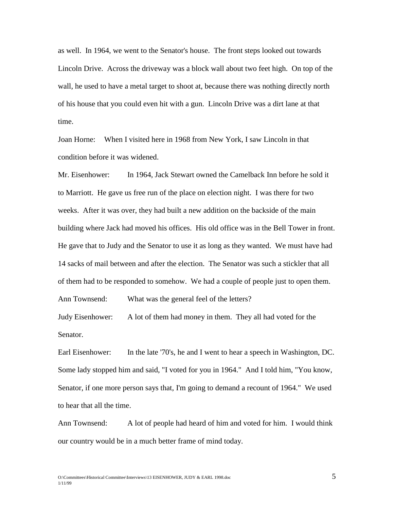as well. In 1964, we went to the Senator's house. The front steps looked out towards Lincoln Drive. Across the driveway was a block wall about two feet high. On top of the wall, he used to have a metal target to shoot at, because there was nothing directly north of his house that you could even hit with a gun. Lincoln Drive was a dirt lane at that time.

Joan Horne: When I visited here in 1968 from New York, I saw Lincoln in that condition before it was widened.

Mr. Eisenhower: In 1964, Jack Stewart owned the Camelback Inn before he sold it to Marriott. He gave us free run of the place on election night. I was there for two weeks. After it was over, they had built a new addition on the backside of the main building where Jack had moved his offices. His old office was in the Bell Tower in front. He gave that to Judy and the Senator to use it as long as they wanted. We must have had 14 sacks of mail between and after the election. The Senator was such a stickler that all of them had to be responded to somehow. We had a couple of people just to open them. Ann Townsend: What was the general feel of the letters?

Judy Eisenhower: A lot of them had money in them. They all had voted for the Senator.

Earl Eisenhower: In the late '70's, he and I went to hear a speech in Washington, DC. Some lady stopped him and said, "I voted for you in 1964." And I told him, "You know, Senator, if one more person says that, I'm going to demand a recount of 1964." We used to hear that all the time.

Ann Townsend: A lot of people had heard of him and voted for him. I would think our country would be in a much better frame of mind today.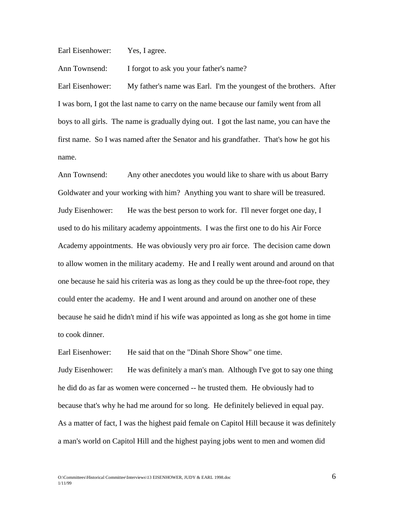Earl Eisenhower: Yes, I agree.

Ann Townsend: I forgot to ask you your father's name?

Earl Eisenhower: My father's name was Earl. I'm the youngest of the brothers. After I was born, I got the last name to carry on the name because our family went from all boys to all girls. The name is gradually dying out. I got the last name, you can have the first name. So I was named after the Senator and his grandfather. That's how he got his name.

Ann Townsend: Any other anecdotes you would like to share with us about Barry Goldwater and your working with him? Anything you want to share will be treasured. Judy Eisenhower: He was the best person to work for. I'll never forget one day, I used to do his military academy appointments. I was the first one to do his Air Force Academy appointments. He was obviously very pro air force. The decision came down to allow women in the military academy. He and I really went around and around on that one because he said his criteria was as long as they could be up the three-foot rope, they could enter the academy. He and I went around and around on another one of these because he said he didn't mind if his wife was appointed as long as she got home in time to cook dinner.

Earl Eisenhower: He said that on the "Dinah Shore Show" one time.

Judy Eisenhower: He was definitely a man's man. Although I've got to say one thing he did do as far as women were concerned -- he trusted them. He obviously had to because that's why he had me around for so long. He definitely believed in equal pay. As a matter of fact, I was the highest paid female on Capitol Hill because it was definitely a man's world on Capitol Hill and the highest paying jobs went to men and women did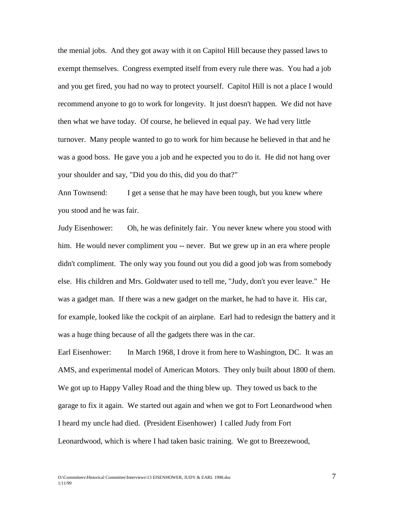the menial jobs. And they got away with it on Capitol Hill because they passed laws to exempt themselves. Congress exempted itself from every rule there was. You had a job and you get fired, you had no way to protect yourself. Capitol Hill is not a place I would recommend anyone to go to work for longevity. It just doesn't happen. We did not have then what we have today. Of course, he believed in equal pay. We had very little turnover. Many people wanted to go to work for him because he believed in that and he was a good boss. He gave you a job and he expected you to do it. He did not hang over your shoulder and say, "Did you do this, did you do that?"

Ann Townsend: I get a sense that he may have been tough, but you knew where you stood and he was fair.

Judy Eisenhower: Oh, he was definitely fair. You never knew where you stood with him. He would never compliment you -- never. But we grew up in an era where people didn't compliment. The only way you found out you did a good job was from somebody else. His children and Mrs. Goldwater used to tell me, "Judy, don't you ever leave." He was a gadget man. If there was a new gadget on the market, he had to have it. His car, for example, looked like the cockpit of an airplane. Earl had to redesign the battery and it was a huge thing because of all the gadgets there was in the car.

Earl Eisenhower: In March 1968, I drove it from here to Washington, DC. It was an AMS, and experimental model of American Motors. They only built about 1800 of them. We got up to Happy Valley Road and the thing blew up. They towed us back to the garage to fix it again. We started out again and when we got to Fort Leonardwood when I heard my uncle had died. (President Eisenhower) I called Judy from Fort Leonardwood, which is where I had taken basic training. We got to Breezewood,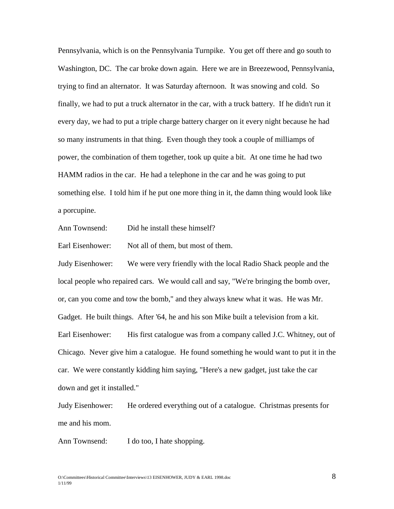Pennsylvania, which is on the Pennsylvania Turnpike. You get off there and go south to Washington, DC. The car broke down again. Here we are in Breezewood, Pennsylvania, trying to find an alternator. It was Saturday afternoon. It was snowing and cold. So finally, we had to put a truck alternator in the car, with a truck battery. If he didn't run it every day, we had to put a triple charge battery charger on it every night because he had so many instruments in that thing. Even though they took a couple of milliamps of power, the combination of them together, took up quite a bit. At one time he had two HAMM radios in the car. He had a telephone in the car and he was going to put something else. I told him if he put one more thing in it, the damn thing would look like a porcupine.

Ann Townsend: Did he install these himself?

Earl Eisenhower: Not all of them, but most of them.

Judy Eisenhower: We were very friendly with the local Radio Shack people and the local people who repaired cars. We would call and say, "We're bringing the bomb over, or, can you come and tow the bomb," and they always knew what it was. He was Mr. Gadget. He built things. After '64, he and his son Mike built a television from a kit. Earl Eisenhower: His first catalogue was from a company called J.C. Whitney, out of Chicago. Never give him a catalogue. He found something he would want to put it in the car. We were constantly kidding him saying, "Here's a new gadget, just take the car down and get it installed."

Judy Eisenhower: He ordered everything out of a catalogue. Christmas presents for me and his mom.

Ann Townsend: I do too, I hate shopping.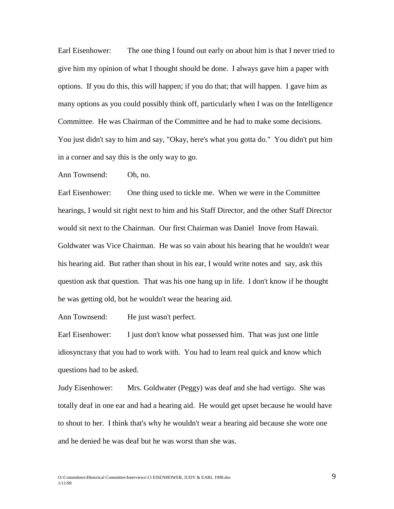Earl Eisenhower: The one thing I found out early on about him is that I never tried to give him my opinion of what I thought should be done. I always gave him a paper with options. If you do this, this will happen; if you do that; that will happen. I gave him as many options as you could possibly think off, particularly when I was on the Intelligence Committee. He was Chairman of the Committee and he had to make some decisions. You just didn't say to him and say, "Okay, here's what you gotta do." You didn't put him in a corner and say this is the only way to go.

Ann Townsend: Oh, no.

Earl Eisenhower: One thing used to tickle me. When we were in the Committee hearings, I would sit right next to him and his Staff Director, and the other Staff Director would sit next to the Chairman. Our first Chairman was Daniel Inove from Hawaii. Goldwater was Vice Chairman. He was so vain about his hearing that he wouldn't wear his hearing aid. But rather than shout in his ear, I would write notes and say, ask this question ask that question. That was his one hang up in life. I don't know if he thought he was getting old, but he wouldn't wear the hearing aid.

Ann Townsend: He just wasn't perfect.

Earl Eisenhower: I just don't know what possessed him. That was just one little idiosyncrasy that you had to work with. You had to learn real quick and know which questions had to be asked.

Judy Eisenhower: Mrs. Goldwater (Peggy) was deaf and she had vertigo. She was totally deaf in one ear and had a hearing aid. He would get upset because he would have to shout to her. I think that's why he wouldn't wear a hearing aid because she wore one and he denied he was deaf but he was worst than she was.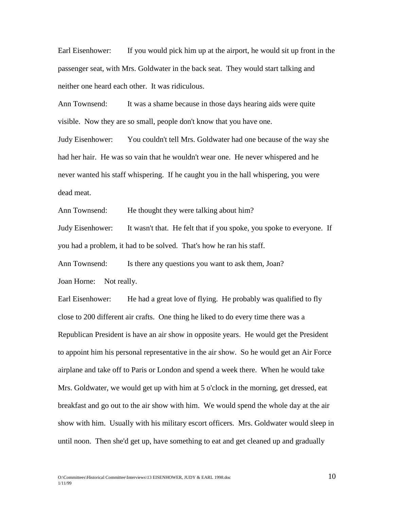Earl Eisenhower: If you would pick him up at the airport, he would sit up front in the passenger seat, with Mrs. Goldwater in the back seat. They would start talking and neither one heard each other. It was ridiculous.

Ann Townsend: It was a shame because in those days hearing aids were quite visible. Now they are so small, people don't know that you have one.

Judy Eisenhower: You couldn't tell Mrs. Goldwater had one because of the way she had her hair. He was so vain that he wouldn't wear one. He never whispered and he never wanted his staff whispering. If he caught you in the hall whispering, you were dead meat.

Ann Townsend: He thought they were talking about him?

Judy Eisenhower: It wasn't that. He felt that if you spoke, you spoke to everyone. If you had a problem, it had to be solved. That's how he ran his staff.

Ann Townsend: Is there any questions you want to ask them, Joan?

Joan Horne: Not really.

Earl Eisenhower: He had a great love of flying. He probably was qualified to fly close to 200 different air crafts. One thing he liked to do every time there was a Republican President is have an air show in opposite years. He would get the President to appoint him his personal representative in the air show. So he would get an Air Force airplane and take off to Paris or London and spend a week there. When he would take Mrs. Goldwater, we would get up with him at 5 o'clock in the morning, get dressed, eat breakfast and go out to the air show with him. We would spend the whole day at the air show with him. Usually with his military escort officers. Mrs. Goldwater would sleep in until noon. Then she'd get up, have something to eat and get cleaned up and gradually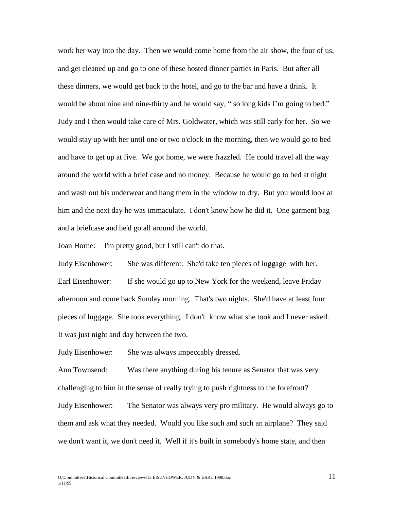work her way into the day. Then we would come home from the air show, the four of us, and get cleaned up and go to one of these hosted dinner parties in Paris. But after all these dinners, we would get back to the hotel, and go to the bar and have a drink. It would be about nine and nine-thirty and he would say, " so long kids I'm going to bed." Judy and I then would take care of Mrs. Goldwater, which was still early for her. So we would stay up with her until one or two o'clock in the morning, then we would go to bed and have to get up at five. We got home, we were frazzled. He could travel all the way around the world with a brief case and no money. Because he would go to bed at night and wash out his underwear and hang them in the window to dry. But you would look at him and the next day he was immaculate. I don't know how he did it. One garment bag and a briefcase and he'd go all around the world.

Joan Horne: I'm pretty good, but I still can't do that.

Judy Eisenhower: She was different. She'd take ten pieces of luggage with her. Earl Eisenhower: If she would go up to New York for the weekend, leave Friday afternoon and come back Sunday morning. That's two nights. She'd have at least four pieces of luggage. She took everything. I don't know what she took and I never asked. It was just night and day between the two.

Judy Eisenhower: She was always impeccably dressed.

Ann Townsend: Was there anything during his tenure as Senator that was very challenging to him in the sense of really trying to push rightness to the forefront? Judy Eisenhower: The Senator was always very pro military. He would always go to them and ask what they needed. Would you like such and such an airplane? They said we don't want it, we don't need it. Well if it's built in somebody's home state, and then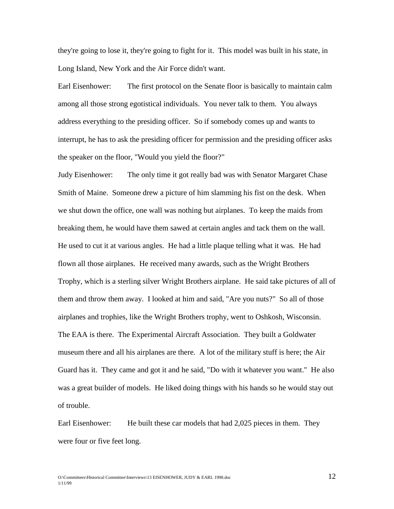they're going to lose it, they're going to fight for it. This model was built in his state, in Long Island, New York and the Air Force didn't want.

Earl Eisenhower: The first protocol on the Senate floor is basically to maintain calm among all those strong egotistical individuals. You never talk to them. You always address everything to the presiding officer. So if somebody comes up and wants to interrupt, he has to ask the presiding officer for permission and the presiding officer asks the speaker on the floor, "Would you yield the floor?"

Judy Eisenhower: The only time it got really bad was with Senator Margaret Chase Smith of Maine. Someone drew a picture of him slamming his fist on the desk. When we shut down the office, one wall was nothing but airplanes. To keep the maids from breaking them, he would have them sawed at certain angles and tack them on the wall. He used to cut it at various angles. He had a little plaque telling what it was. He had flown all those airplanes. He received many awards, such as the Wright Brothers Trophy, which is a sterling silver Wright Brothers airplane. He said take pictures of all of them and throw them away. I looked at him and said, "Are you nuts?" So all of those airplanes and trophies, like the Wright Brothers trophy, went to Oshkosh, Wisconsin. The EAA is there. The Experimental Aircraft Association. They built a Goldwater museum there and all his airplanes are there. A lot of the military stuff is here; the Air Guard has it. They came and got it and he said, "Do with it whatever you want." He also was a great builder of models. He liked doing things with his hands so he would stay out of trouble.

Earl Eisenhower: He built these car models that had 2,025 pieces in them. They were four or five feet long.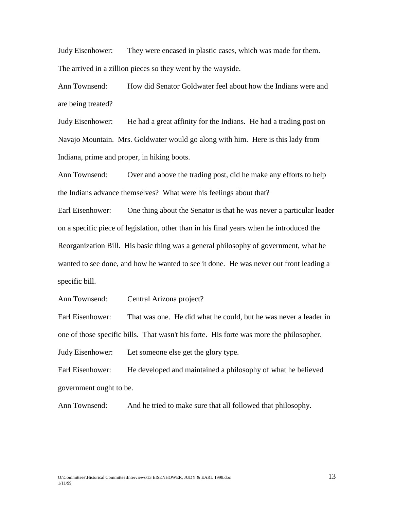Judy Eisenhower: They were encased in plastic cases, which was made for them. The arrived in a zillion pieces so they went by the wayside.

Ann Townsend: How did Senator Goldwater feel about how the Indians were and are being treated?

Judy Eisenhower: He had a great affinity for the Indians. He had a trading post on Navajo Mountain. Mrs. Goldwater would go along with him. Here is this lady from Indiana, prime and proper, in hiking boots.

Ann Townsend: Over and above the trading post, did he make any efforts to help the Indians advance themselves? What were his feelings about that?

Earl Eisenhower: One thing about the Senator is that he was never a particular leader on a specific piece of legislation, other than in his final years when he introduced the Reorganization Bill. His basic thing was a general philosophy of government, what he wanted to see done, and how he wanted to see it done. He was never out front leading a specific bill.

Ann Townsend: Central Arizona project?

Earl Eisenhower: That was one. He did what he could, but he was never a leader in one of those specific bills. That wasn't his forte. His forte was more the philosopher. Judy Eisenhower: Let someone else get the glory type.

Earl Eisenhower: He developed and maintained a philosophy of what he believed government ought to be.

Ann Townsend: And he tried to make sure that all followed that philosophy.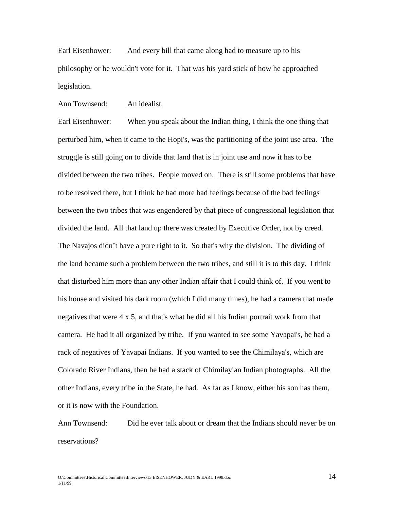Earl Eisenhower: And every bill that came along had to measure up to his philosophy or he wouldn't vote for it. That was his yard stick of how he approached legislation.

Ann Townsend: An idealist.

Earl Eisenhower: When you speak about the Indian thing, I think the one thing that perturbed him, when it came to the Hopi's, was the partitioning of the joint use area. The struggle is still going on to divide that land that is in joint use and now it has to be divided between the two tribes. People moved on. There is still some problems that have to be resolved there, but I think he had more bad feelings because of the bad feelings between the two tribes that was engendered by that piece of congressional legislation that divided the land. All that land up there was created by Executive Order, not by creed. The Navajos didn't have a pure right to it. So that's why the division. The dividing of the land became such a problem between the two tribes, and still it is to this day. I think that disturbed him more than any other Indian affair that I could think of. If you went to his house and visited his dark room (which I did many times), he had a camera that made negatives that were 4 x 5, and that's what he did all his Indian portrait work from that camera. He had it all organized by tribe. If you wanted to see some Yavapai's, he had a rack of negatives of Yavapai Indians. If you wanted to see the Chimilaya's, which are Colorado River Indians, then he had a stack of Chimilayian Indian photographs. All the other Indians, every tribe in the State, he had. As far as I know, either his son has them, or it is now with the Foundation.

Ann Townsend: Did he ever talk about or dream that the Indians should never be on reservations?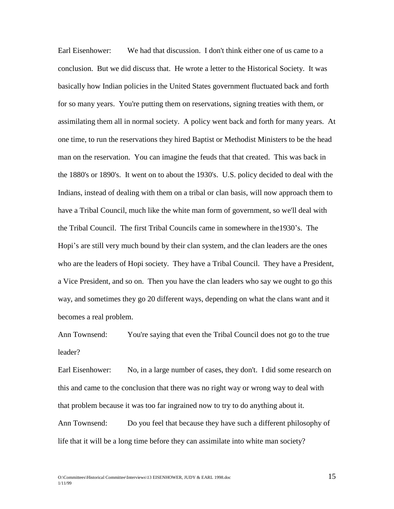Earl Eisenhower: We had that discussion. I don't think either one of us came to a conclusion. But we did discuss that. He wrote a letter to the Historical Society. It was basically how Indian policies in the United States government fluctuated back and forth for so many years. You're putting them on reservations, signing treaties with them, or assimilating them all in normal society. A policy went back and forth for many years. At one time, to run the reservations they hired Baptist or Methodist Ministers to be the head man on the reservation. You can imagine the feuds that that created. This was back in the 1880's or 1890's. It went on to about the 1930's. U.S. policy decided to deal with the Indians, instead of dealing with them on a tribal or clan basis, will now approach them to have a Tribal Council, much like the white man form of government, so we'll deal with the Tribal Council. The first Tribal Councils came in somewhere in the1930's. The Hopi's are still very much bound by their clan system, and the clan leaders are the ones who are the leaders of Hopi society. They have a Tribal Council. They have a President, a Vice President, and so on. Then you have the clan leaders who say we ought to go this way, and sometimes they go 20 different ways, depending on what the clans want and it becomes a real problem.

Ann Townsend: You're saying that even the Tribal Council does not go to the true leader?

Earl Eisenhower: No, in a large number of cases, they don't. I did some research on this and came to the conclusion that there was no right way or wrong way to deal with that problem because it was too far ingrained now to try to do anything about it. Ann Townsend: Do you feel that because they have such a different philosophy of life that it will be a long time before they can assimilate into white man society?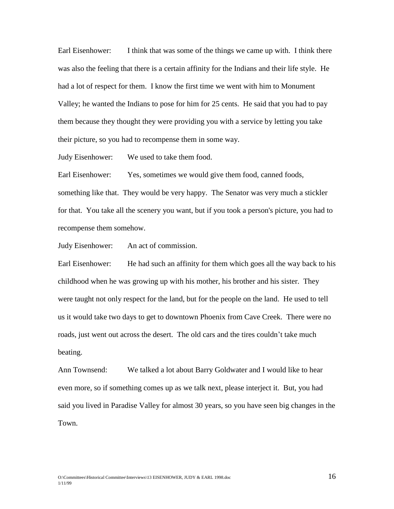Earl Eisenhower: I think that was some of the things we came up with. I think there was also the feeling that there is a certain affinity for the Indians and their life style. He had a lot of respect for them. I know the first time we went with him to Monument Valley; he wanted the Indians to pose for him for 25 cents. He said that you had to pay them because they thought they were providing you with a service by letting you take their picture, so you had to recompense them in some way.

Judy Eisenhower: We used to take them food.

Earl Eisenhower: Yes, sometimes we would give them food, canned foods, something like that. They would be very happy. The Senator was very much a stickler for that. You take all the scenery you want, but if you took a person's picture, you had to recompense them somehow.

Judy Eisenhower: An act of commission.

Earl Eisenhower: He had such an affinity for them which goes all the way back to his childhood when he was growing up with his mother, his brother and his sister. They were taught not only respect for the land, but for the people on the land. He used to tell us it would take two days to get to downtown Phoenix from Cave Creek. There were no roads, just went out across the desert. The old cars and the tires couldn't take much beating.

Ann Townsend: We talked a lot about Barry Goldwater and I would like to hear even more, so if something comes up as we talk next, please interject it. But, you had said you lived in Paradise Valley for almost 30 years, so you have seen big changes in the Town.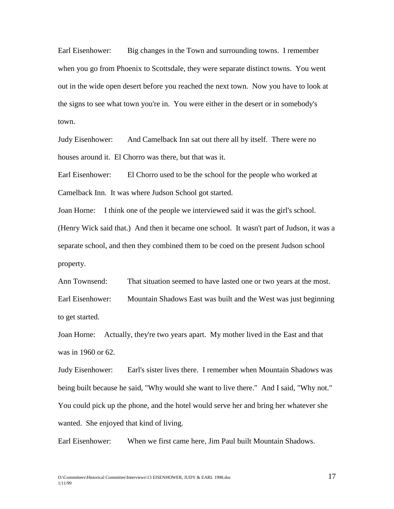Earl Eisenhower: Big changes in the Town and surrounding towns. I remember when you go from Phoenix to Scottsdale, they were separate distinct towns. You went out in the wide open desert before you reached the next town. Now you have to look at the signs to see what town you're in. You were either in the desert or in somebody's town.

Judy Eisenhower: And Camelback Inn sat out there all by itself. There were no houses around it. El Chorro was there, but that was it.

Earl Eisenhower: El Chorro used to be the school for the people who worked at Camelback Inn. It was where Judson School got started.

Joan Horne: I think one of the people we interviewed said it was the girl's school. (Henry Wick said that.) And then it became one school. It wasn't part of Judson, it was a separate school, and then they combined them to be coed on the present Judson school property.

Ann Townsend: That situation seemed to have lasted one or two years at the most. Earl Eisenhower: Mountain Shadows East was built and the West was just beginning to get started.

Joan Horne: Actually, they're two years apart. My mother lived in the East and that was in 1960 or 62.

Judy Eisenhower: Earl's sister lives there. I remember when Mountain Shadows was being built because he said, "Why would she want to live there." And I said, "Why not." You could pick up the phone, and the hotel would serve her and bring her whatever she wanted. She enjoyed that kind of living.

Earl Eisenhower: When we first came here, Jim Paul built Mountain Shadows.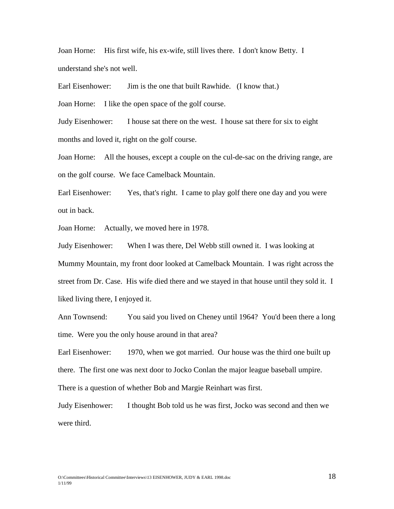Joan Horne: His first wife, his ex-wife, still lives there. I don't know Betty. I understand she's not well.

Earl Eisenhower: Jim is the one that built Rawhide. (I know that.)

Joan Horne: I like the open space of the golf course.

Judy Eisenhower: I house sat there on the west. I house sat there for six to eight months and loved it, right on the golf course.

Joan Horne: All the houses, except a couple on the cul-de-sac on the driving range, are on the golf course. We face Camelback Mountain.

Earl Eisenhower: Yes, that's right. I came to play golf there one day and you were out in back.

Joan Horne: Actually, we moved here in 1978.

Judy Eisenhower: When I was there, Del Webb still owned it. I was looking at Mummy Mountain, my front door looked at Camelback Mountain. I was right across the street from Dr. Case. His wife died there and we stayed in that house until they sold it. I liked living there, I enjoyed it.

Ann Townsend: You said you lived on Cheney until 1964? You'd been there a long time. Were you the only house around in that area?

Earl Eisenhower: 1970, when we got married. Our house was the third one built up there. The first one was next door to Jocko Conlan the major league baseball umpire. There is a question of whether Bob and Margie Reinhart was first.

Judy Eisenhower: I thought Bob told us he was first, Jocko was second and then we were third.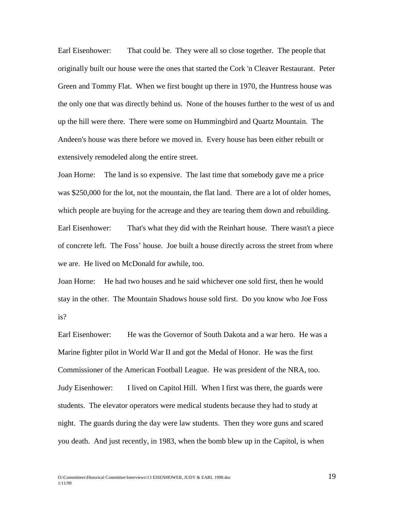Earl Eisenhower: That could be. They were all so close together. The people that originally built our house were the ones that started the Cork 'n Cleaver Restaurant. Peter Green and Tommy Flat. When we first bought up there in 1970, the Huntress house was the only one that was directly behind us. None of the houses further to the west of us and up the hill were there. There were some on Hummingbird and Quartz Mountain. The Andeen's house was there before we moved in. Every house has been either rebuilt or extensively remodeled along the entire street.

Joan Horne: The land is so expensive. The last time that somebody gave me a price was \$250,000 for the lot, not the mountain, the flat land. There are a lot of older homes, which people are buying for the acreage and they are tearing them down and rebuilding. Earl Eisenhower: That's what they did with the Reinhart house. There wasn't a piece of concrete left. The Foss' house. Joe built a house directly across the street from where we are. He lived on McDonald for awhile, too.

Joan Horne: He had two houses and he said whichever one sold first, then he would stay in the other. The Mountain Shadows house sold first. Do you know who Joe Foss is?

Earl Eisenhower: He was the Governor of South Dakota and a war hero. He was a Marine fighter pilot in World War II and got the Medal of Honor. He was the first Commissioner of the American Football League. He was president of the NRA, too. Judy Eisenhower: I lived on Capitol Hill. When I first was there, the guards were students. The elevator operators were medical students because they had to study at night. The guards during the day were law students. Then they wore guns and scared you death. And just recently, in 1983, when the bomb blew up in the Capitol, is when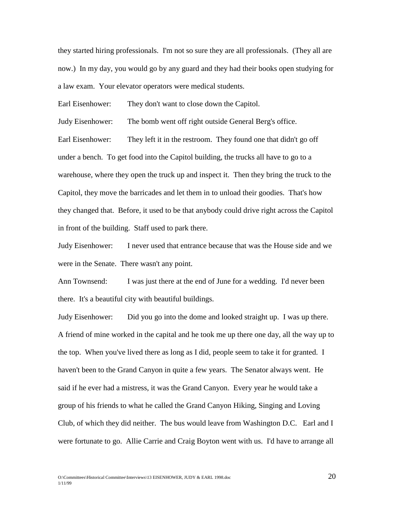they started hiring professionals. I'm not so sure they are all professionals. (They all are now.) In my day, you would go by any guard and they had their books open studying for a law exam. Your elevator operators were medical students.

Earl Eisenhower: They don't want to close down the Capitol.

Judy Eisenhower: The bomb went off right outside General Berg's office.

Earl Eisenhower: They left it in the restroom. They found one that didn't go off under a bench. To get food into the Capitol building, the trucks all have to go to a warehouse, where they open the truck up and inspect it. Then they bring the truck to the Capitol, they move the barricades and let them in to unload their goodies. That's how they changed that. Before, it used to be that anybody could drive right across the Capitol in front of the building. Staff used to park there.

Judy Eisenhower: I never used that entrance because that was the House side and we were in the Senate. There wasn't any point.

Ann Townsend: I was just there at the end of June for a wedding. I'd never been there. It's a beautiful city with beautiful buildings.

Judy Eisenhower: Did you go into the dome and looked straight up. I was up there. A friend of mine worked in the capital and he took me up there one day, all the way up to the top. When you've lived there as long as I did, people seem to take it for granted. I haven't been to the Grand Canyon in quite a few years. The Senator always went. He said if he ever had a mistress, it was the Grand Canyon. Every year he would take a group of his friends to what he called the Grand Canyon Hiking, Singing and Loving Club, of which they did neither. The bus would leave from Washington D.C. Earl and I were fortunate to go. Allie Carrie and Craig Boyton went with us. I'd have to arrange all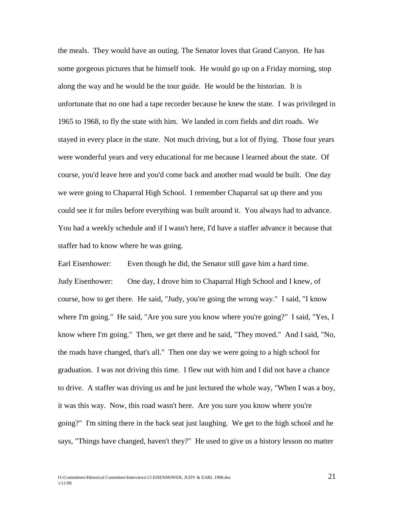the meals. They would have an outing. The Senator loves that Grand Canyon. He has some gorgeous pictures that he himself took. He would go up on a Friday morning, stop along the way and he would be the tour guide. He would be the historian. It is unfortunate that no one had a tape recorder because he knew the state. I was privileged in 1965 to 1968, to fly the state with him. We landed in corn fields and dirt roads. We stayed in every place in the state. Not much driving, but a lot of flying. Those four years were wonderful years and very educational for me because I learned about the state. Of course, you'd leave here and you'd come back and another road would be built. One day we were going to Chaparral High School. I remember Chaparral sat up there and you could see it for miles before everything was built around it. You always had to advance. You had a weekly schedule and if I wasn't here, I'd have a staffer advance it because that staffer had to know where he was going.

Earl Eisenhower: Even though he did, the Senator still gave him a hard time. Judy Eisenhower: One day, I drove him to Chaparral High School and I knew, of course, how to get there. He said, "Judy, you're going the wrong way." I said, "I know where I'm going." He said, "Are you sure you know where you're going?" I said, "Yes, I know where I'm going." Then, we get there and he said, "They moved." And I said, "No, the roads have changed, that's all." Then one day we were going to a high school for graduation. I was not driving this time. I flew out with him and I did not have a chance to drive. A staffer was driving us and he just lectured the whole way, "When I was a boy, it was this way. Now, this road wasn't here. Are you sure you know where you're going?" I'm sitting there in the back seat just laughing. We get to the high school and he says, "Things have changed, haven't they?" He used to give us a history lesson no matter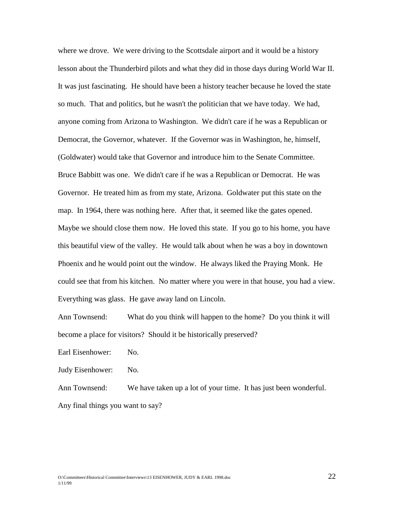where we drove. We were driving to the Scottsdale airport and it would be a history lesson about the Thunderbird pilots and what they did in those days during World War II. It was just fascinating. He should have been a history teacher because he loved the state so much. That and politics, but he wasn't the politician that we have today. We had, anyone coming from Arizona to Washington. We didn't care if he was a Republican or Democrat, the Governor, whatever. If the Governor was in Washington, he, himself, (Goldwater) would take that Governor and introduce him to the Senate Committee. Bruce Babbitt was one. We didn't care if he was a Republican or Democrat. He was Governor. He treated him as from my state, Arizona. Goldwater put this state on the map. In 1964, there was nothing here. After that, it seemed like the gates opened. Maybe we should close them now. He loved this state. If you go to his home, you have this beautiful view of the valley. He would talk about when he was a boy in downtown Phoenix and he would point out the window. He always liked the Praying Monk. He could see that from his kitchen. No matter where you were in that house, you had a view. Everything was glass. He gave away land on Lincoln.

Ann Townsend: What do you think will happen to the home? Do you think it will become a place for visitors? Should it be historically preserved?

Earl Eisenhower: No.

Judy Eisenhower: No.

Ann Townsend: We have taken up a lot of your time. It has just been wonderful. Any final things you want to say?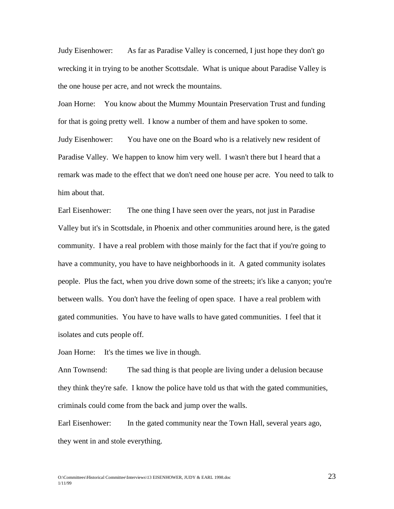Judy Eisenhower: As far as Paradise Valley is concerned, I just hope they don't go wrecking it in trying to be another Scottsdale. What is unique about Paradise Valley is the one house per acre, and not wreck the mountains.

Joan Horne: You know about the Mummy Mountain Preservation Trust and funding for that is going pretty well. I know a number of them and have spoken to some. Judy Eisenhower: You have one on the Board who is a relatively new resident of Paradise Valley. We happen to know him very well. I wasn't there but I heard that a remark was made to the effect that we don't need one house per acre. You need to talk to him about that.

Earl Eisenhower: The one thing I have seen over the years, not just in Paradise Valley but it's in Scottsdale, in Phoenix and other communities around here, is the gated community. I have a real problem with those mainly for the fact that if you're going to have a community, you have to have neighborhoods in it. A gated community isolates people. Plus the fact, when you drive down some of the streets; it's like a canyon; you're between walls. You don't have the feeling of open space. I have a real problem with gated communities. You have to have walls to have gated communities. I feel that it isolates and cuts people off.

Joan Horne: It's the times we live in though.

Ann Townsend: The sad thing is that people are living under a delusion because they think they're safe. I know the police have told us that with the gated communities, criminals could come from the back and jump over the walls.

Earl Eisenhower: In the gated community near the Town Hall, several years ago, they went in and stole everything.